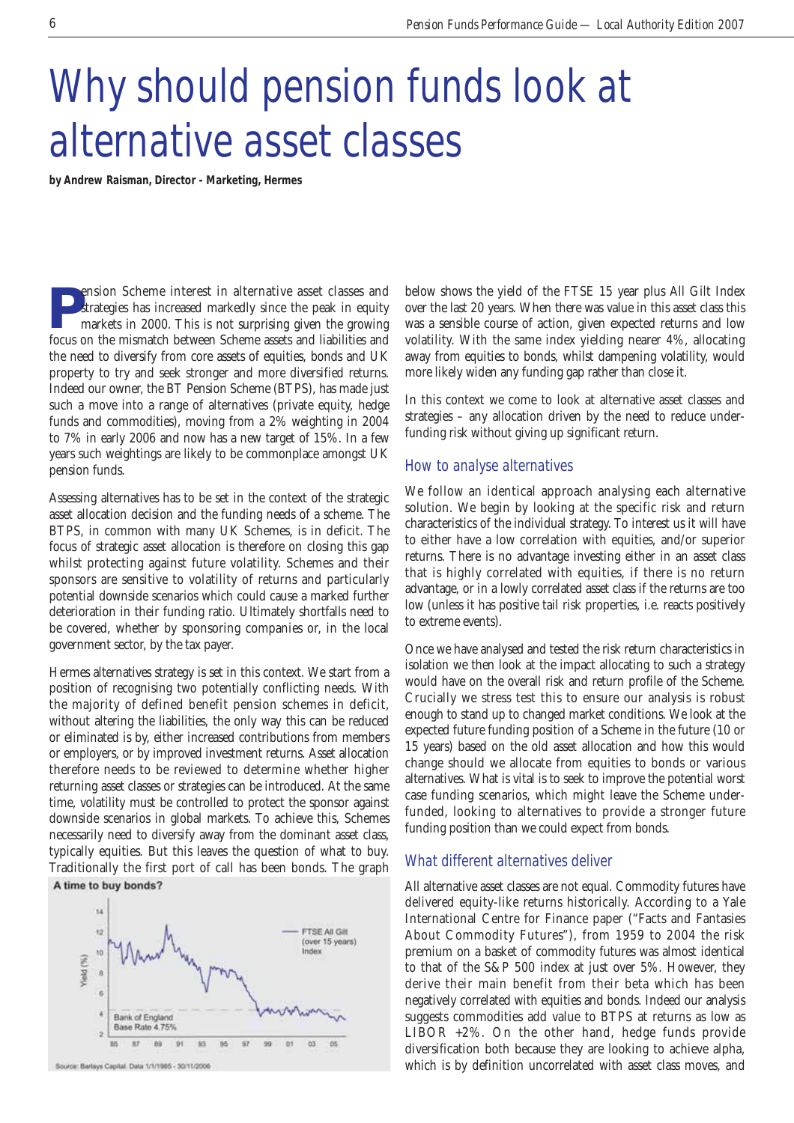## Why should pension funds look at alternative asset classes

**by Andrew Raisman, Director - Marketing, Hermes**

**Pension Scheme interest in alternative asset classes and strategies has increased markedly since the peak in equity markets in 2000. This is not surprising given the growing** strategies has increased markedly since the peak in equity markets in 2000. This is not surprising given the growing focus on the mismatch between Scheme assets and liabilities and the need to diversify from core assets of equities, bonds and UK property to try and seek stronger and more diversified returns. Indeed our owner, the BT Pension Scheme (BTPS), has made just such a move into a range of alternatives (private equity, hedge funds and commodities), moving from a 2% weighting in 2004 to 7% in early 2006 and now has a new target of 15%. In a few years such weightings are likely to be commonplace amongst UK pension funds.

Assessing alternatives has to be set in the context of the strategic asset allocation decision and the funding needs of a scheme. The BTPS, in common with many UK Schemes, is in deficit. The focus of strategic asset allocation is therefore on closing this gap whilst protecting against future volatility. Schemes and their sponsors are sensitive to volatility of returns and particularly potential downside scenarios which could cause a marked further deterioration in their funding ratio. Ultimately shortfalls need to be covered, whether by sponsoring companies or, in the local government sector, by the tax payer.

Hermes alternatives strategy is set in this context. We start from a position of recognising two potentially conflicting needs. With the majority of defined benefit pension schemes in deficit, without altering the liabilities, the only way this can be reduced or eliminated is by, either increased contributions from members or employers, or by improved investment returns. Asset allocation therefore needs to be reviewed to determine whether higher returning asset classes or strategies can be introduced. At the same time, volatility must be controlled to protect the sponsor against downside scenarios in global markets. To achieve this, Schemes necessarily need to diversify away from the dominant asset class, typically equities. But this leaves the question of what to buy. Traditionally the first port of call has been bonds. The graph A time to buy bonds?



Source: Barlays Capital. Data 1/1/1985 - 30/11/2006

below shows the yield of the FTSE 15 year plus All Gilt Index over the last 20 years. When there was value in this asset class this was a sensible course of action, given expected returns and low volatility. With the same index yielding nearer 4%, allocating away from equities to bonds, whilst dampening volatility, would more likely widen any funding gap rather than close it.

In this context we come to look at alternative asset classes and strategies – any allocation driven by the need to reduce underfunding risk without giving up significant return.

## How to analyse alternatives

We follow an identical approach analysing each alternative solution. We begin by looking at the specific risk and return characteristics of the individual strategy. To interest us it will have to either have a low correlation with equities, and/or superior returns. There is no advantage investing either in an asset class that is highly correlated with equities, if there is no return advantage, or in a lowly correlated asset class if the returns are too low (unless it has positive tail risk properties, i.e. reacts positively to extreme events).

Once we have analysed and tested the risk return characteristics in isolation we then look at the impact allocating to such a strategy would have on the overall risk and return profile of the Scheme. Crucially we stress test this to ensure our analysis is robust enough to stand up to changed market conditions. We look at the expected future funding position of a Scheme in the future (10 or 15 years) based on the old asset allocation and how this would change should we allocate from equities to bonds or various alternatives. What is vital is to seek to improve the potential worst case funding scenarios, which might leave the Scheme underfunded, looking to alternatives to provide a stronger future funding position than we could expect from bonds.

## What different alternatives deliver

All alternative asset classes are not equal. Commodity futures have delivered equity-like returns historically. According to a Yale International Centre for Finance paper ("Facts and Fantasies About Commodity Futures"), from 1959 to 2004 the risk premium on a basket of commodity futures was almost identical to that of the S&P 500 index at just over 5%. However, they derive their main benefit from their beta which has been negatively correlated with equities and bonds. Indeed our analysis suggests commodities add value to BTPS at returns as low as LIBOR +2%. On the other hand, hedge funds provide diversification both because they are looking to achieve alpha, which is by definition uncorrelated with asset class moves, and